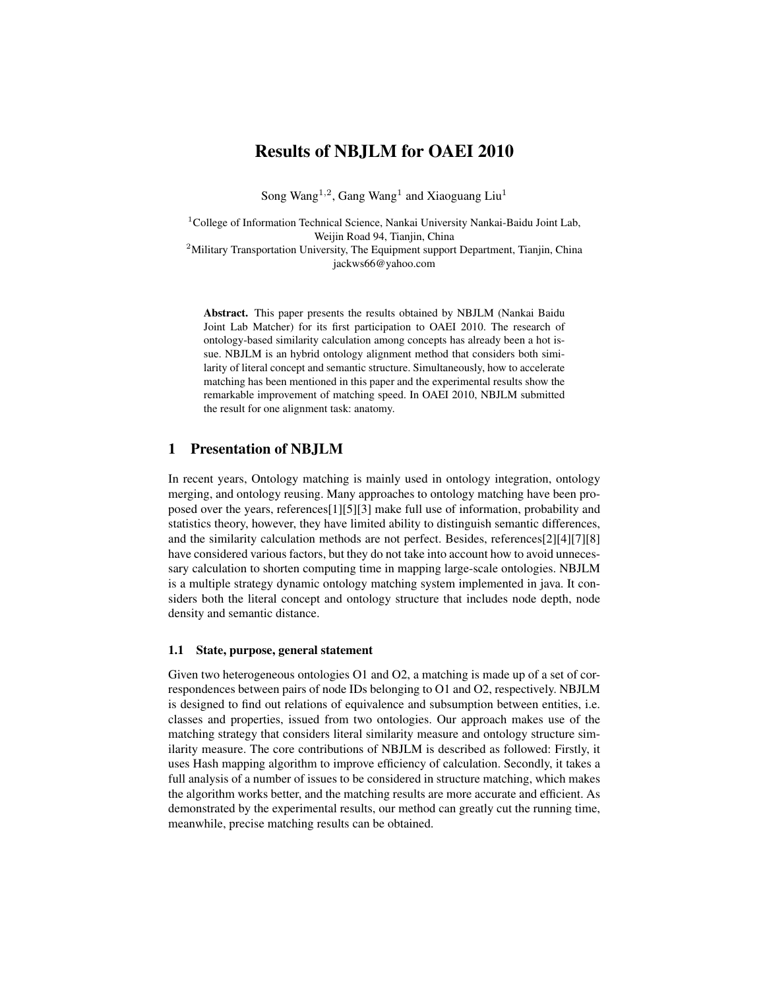# Results of NBJLM for OAEI 2010

Song Wang<sup>1,2</sup>, Gang Wang<sup>1</sup> and Xiaoguang Liu<sup>1</sup>

 $1$ College of Information Technical Science, Nankai University Nankai-Baidu Joint Lab, Weijin Road 94, Tianjin, China

<sup>2</sup>Military Transportation University, The Equipment support Department, Tianjin, China jackws66@yahoo.com

Abstract. This paper presents the results obtained by NBJLM (Nankai Baidu Joint Lab Matcher) for its first participation to OAEI 2010. The research of ontology-based similarity calculation among concepts has already been a hot issue. NBJLM is an hybrid ontology alignment method that considers both similarity of literal concept and semantic structure. Simultaneously, how to accelerate matching has been mentioned in this paper and the experimental results show the remarkable improvement of matching speed. In OAEI 2010, NBJLM submitted the result for one alignment task: anatomy.

# 1 Presentation of NBJLM

In recent years, Ontology matching is mainly used in ontology integration, ontology merging, and ontology reusing. Many approaches to ontology matching have been proposed over the years, references[1][5][3] make full use of information, probability and statistics theory, however, they have limited ability to distinguish semantic differences, and the similarity calculation methods are not perfect. Besides, references[2][4][7][8] have considered various factors, but they do not take into account how to avoid unnecessary calculation to shorten computing time in mapping large-scale ontologies. NBJLM is a multiple strategy dynamic ontology matching system implemented in java. It considers both the literal concept and ontology structure that includes node depth, node density and semantic distance.

### 1.1 State, purpose, general statement

Given two heterogeneous ontologies O1 and O2, a matching is made up of a set of correspondences between pairs of node IDs belonging to O1 and O2, respectively. NBJLM is designed to find out relations of equivalence and subsumption between entities, i.e. classes and properties, issued from two ontologies. Our approach makes use of the matching strategy that considers literal similarity measure and ontology structure similarity measure. The core contributions of NBJLM is described as followed: Firstly, it uses Hash mapping algorithm to improve efficiency of calculation. Secondly, it takes a full analysis of a number of issues to be considered in structure matching, which makes the algorithm works better, and the matching results are more accurate and efficient. As demonstrated by the experimental results, our method can greatly cut the running time, meanwhile, precise matching results can be obtained.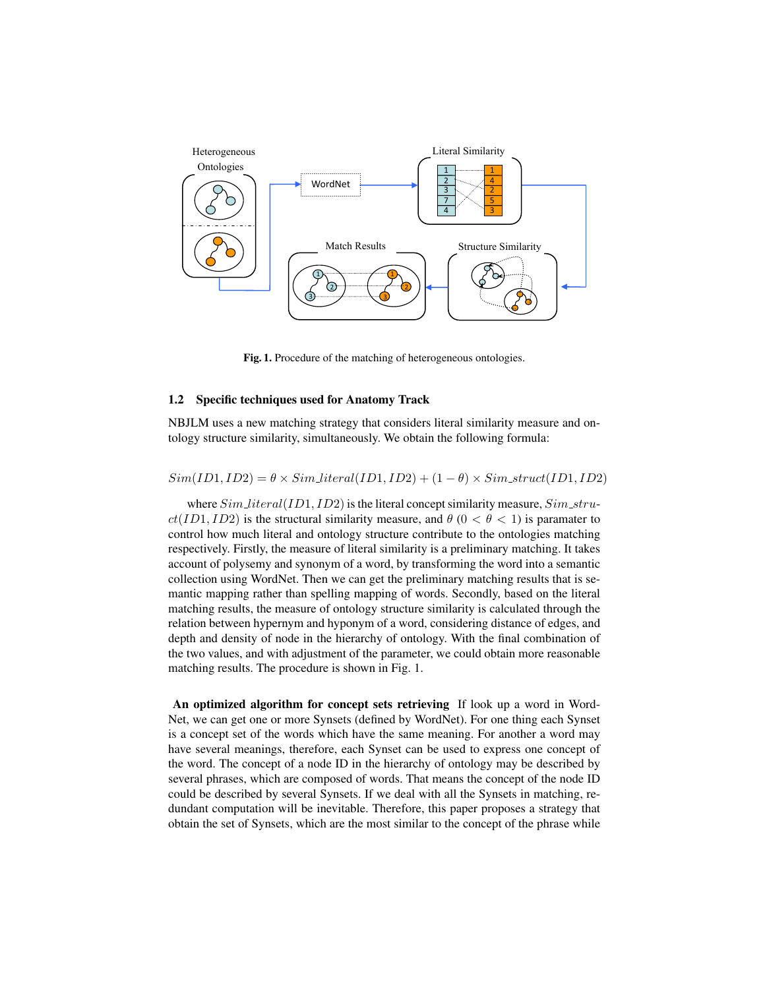

Fig. 1. Procedure of the matching of heterogeneous ontologies.

### 1.2 Specific techniques used for Anatomy Track

NBJLM uses a new matching strategy that considers literal similarity measure and ontology structure similarity, simultaneously. We obtain the following formula:

 $Sim(ID, ID2) = \theta \times Sim\_literal(ID, ID2) + (1 - \theta) \times Sim\_struct(ID, ID2)$ 

where  $Sim\_literal(ID1, ID2)$  is the literal concept similarity measure,  $Sim\_stru$  $ct(ID1, ID2)$  is the structural similarity measure, and  $\theta$  ( $0 < \theta < 1$ ) is paramater to control how much literal and ontology structure contribute to the ontologies matching respectively. Firstly, the measure of literal similarity is a preliminary matching. It takes account of polysemy and synonym of a word, by transforming the word into a semantic collection using WordNet. Then we can get the preliminary matching results that is semantic mapping rather than spelling mapping of words. Secondly, based on the literal matching results, the measure of ontology structure similarity is calculated through the relation between hypernym and hyponym of a word, considering distance of edges, and depth and density of node in the hierarchy of ontology. With the final combination of the two values, and with adjustment of the parameter, we could obtain more reasonable matching results. The procedure is shown in Fig. 1.

An optimized algorithm for concept sets retrieving If look up a word in Word-Net, we can get one or more Synsets (defined by WordNet). For one thing each Synset is a concept set of the words which have the same meaning. For another a word may have several meanings, therefore, each Synset can be used to express one concept of the word. The concept of a node ID in the hierarchy of ontology may be described by several phrases, which are composed of words. That means the concept of the node ID could be described by several Synsets. If we deal with all the Synsets in matching, redundant computation will be inevitable. Therefore, this paper proposes a strategy that obtain the set of Synsets, which are the most similar to the concept of the phrase while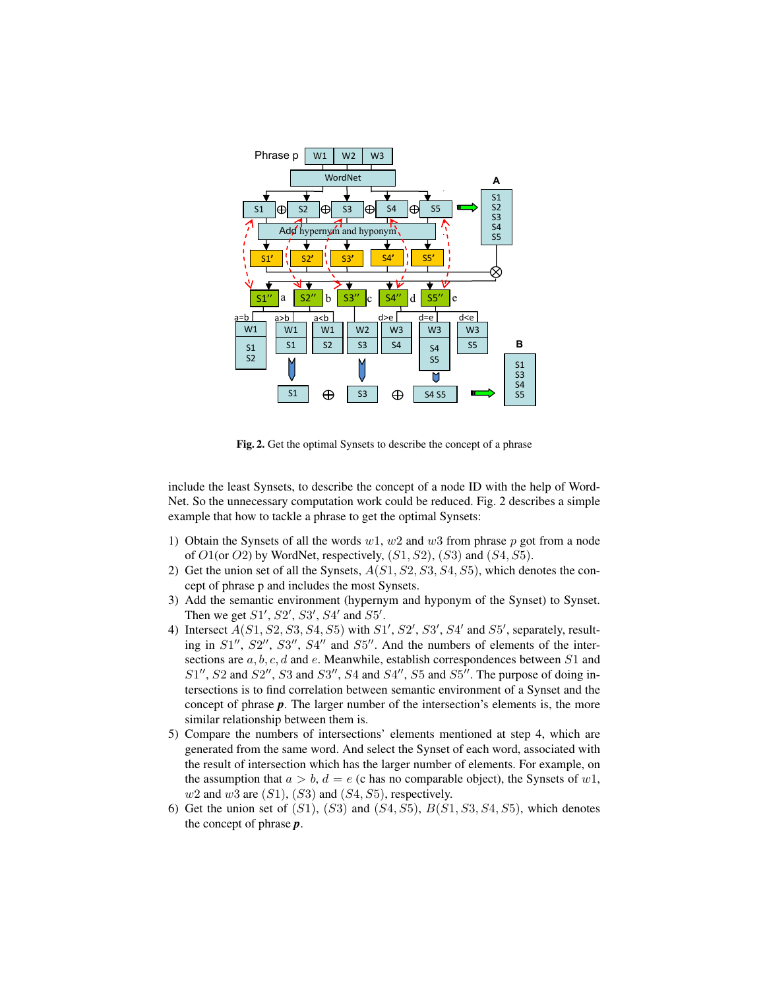

Fig. 2. Get the optimal Synsets to describe the concept of a phrase

include the least Synsets, to describe the concept of a node ID with the help of Word-Net. So the unnecessary computation work could be reduced. Fig. 2 describes a simple example that how to tackle a phrase to get the optimal Synsets:

- 1) Obtain the Synsets of all the words  $w1$ ,  $w2$  and  $w3$  from phrase p got from a node of  $O1$ (or  $O2$ ) by WordNet, respectively,  $(S1, S2)$ ,  $(S3)$  and  $(S4, S5)$ .
- 2) Get the union set of all the Synsets,  $A(S1, S2, S3, S4, S5)$ , which denotes the concept of phrase p and includes the most Synsets.
- 3) Add the semantic environment (hypernym and hyponym of the Synset) to Synset. Then we get  $S1', S2', S3', S4'$  and  $S5'.$
- 4) Intersect  $A(S1, S2, S3, S4, S5)$  with  $S1', S2', S3', S4'$  and  $S5'$ , separately, resulting in  $S1''$ ,  $S2''$ ,  $S3''$ ,  $S4''$  and  $S5''$ . And the numbers of elements of the intersections are  $a, b, c, d$  and  $e$ . Meanwhile, establish correspondences between  $S1$  and  $S1'', S2$  and  $S2'', S3$  and  $S3'', S4$  and  $S4'', S5$  and  $S5''.$  The purpose of doing intersections is to find correlation between semantic environment of a Synset and the concept of phrase *p*. The larger number of the intersection's elements is, the more similar relationship between them is.
- 5) Compare the numbers of intersections' elements mentioned at step 4, which are generated from the same word. And select the Synset of each word, associated with the result of intersection which has the larger number of elements. For example, on the assumption that  $a > b$ ,  $d = e$  (c has no comparable object), the Synsets of w1,  $w2$  and  $w3$  are  $(S1)$ ,  $(S3)$  and  $(S4, S5)$ , respectively.
- 6) Get the union set of  $(S1)$ ,  $(S3)$  and  $(S4, S5)$ ,  $B(S1, S3, S4, S5)$ , which denotes the concept of phrase *p*.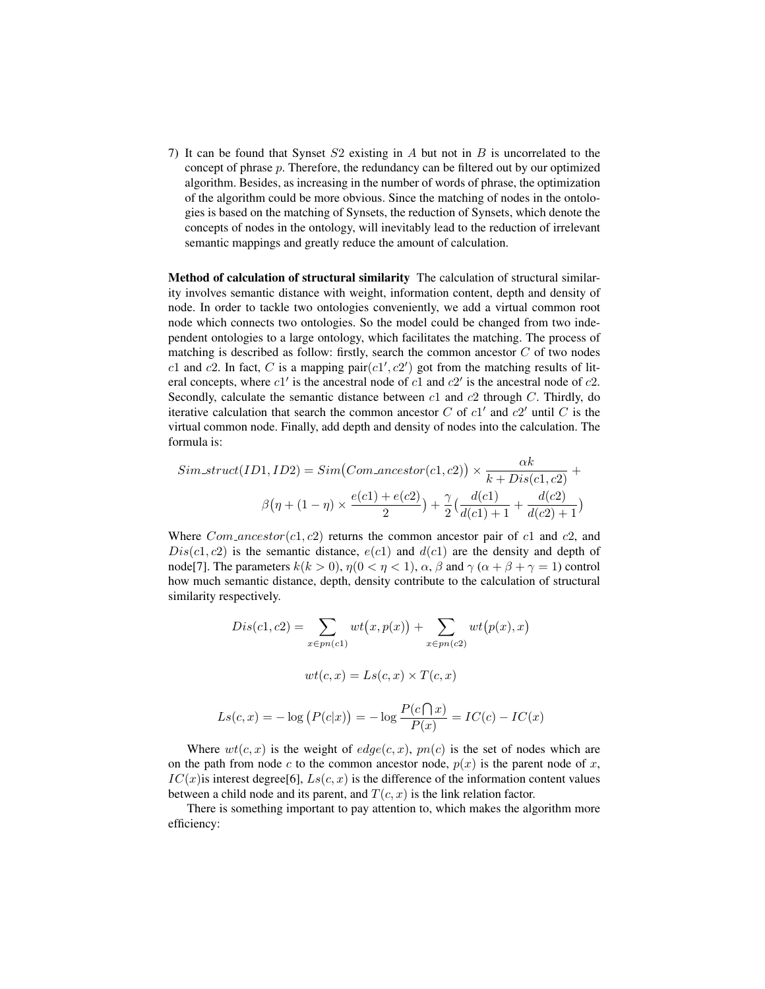7) It can be found that Synset  $S2$  existing in A but not in B is uncorrelated to the concept of phrase  $p$ . Therefore, the redundancy can be filtered out by our optimized algorithm. Besides, as increasing in the number of words of phrase, the optimization of the algorithm could be more obvious. Since the matching of nodes in the ontologies is based on the matching of Synsets, the reduction of Synsets, which denote the concepts of nodes in the ontology, will inevitably lead to the reduction of irrelevant semantic mappings and greatly reduce the amount of calculation.

Method of calculation of structural similarity The calculation of structural similarity involves semantic distance with weight, information content, depth and density of node. In order to tackle two ontologies conveniently, we add a virtual common root node which connects two ontologies. So the model could be changed from two independent ontologies to a large ontology, which facilitates the matching. The process of matching is described as follow: firstly, search the common ancestor  $C$  of two nodes c1 and c2. In fact, C is a mapping pair $(c1', c2')$  got from the matching results of literal concepts, where  $c1'$  is the ancestral node of  $c1$  and  $c2'$  is the ancestral node of  $c2$ . Secondly, calculate the semantic distance between  $c1$  and  $c2$  through  $C$ . Thirdly, do iterative calculation that search the common ancestor C of  $c1'$  and  $c2'$  until C is the virtual common node. Finally, add depth and density of nodes into the calculation. The formula is:

$$
Sim\_struct(ID1, ID2) = Sim(Com\_ancestor(c1, c2)) \times \frac{\alpha k}{k + Dis(c1, c2)} + \beta(\eta + (1 - \eta) \times \frac{e(c1) + e(c2)}{2}) + \frac{\gamma}{2}(\frac{d(c1)}{d(c1) + 1} + \frac{d(c2)}{d(c2) + 1})
$$

Where  $Com\_ancestor(c1, c2)$  returns the common ancestor pair of c1 and c2, and  $Dis(c1, c2)$  is the semantic distance,  $e(c1)$  and  $d(c1)$  are the density and depth of node[7]. The parameters  $k(k > 0)$ ,  $\eta(0 < \eta < 1)$ ,  $\alpha$ ,  $\beta$  and  $\gamma(\alpha + \beta + \gamma = 1)$  control how much semantic distance, depth, density contribute to the calculation of structural similarity respectively.

$$
Dis(c1, c2) = \sum_{x \in pn(c1)} wt(x, p(x)) + \sum_{x \in pn(c2)} wt(p(x), x)
$$

$$
wt(c, x) = Ls(c, x) \times T(c, x)
$$

$$
Ls(c, x) = -\log (P(c|x)) = -\log \frac{P(c \cap x)}{P(x)} = IC(c) - IC(x)
$$

Where  $wt(c, x)$  is the weight of  $edge(c, x)$ ,  $pn(c)$  is the set of nodes which are on the path from node c to the common ancestor node,  $p(x)$  is the parent node of x,  $IC(x)$  is interest degree[6],  $Ls(c, x)$  is the difference of the information content values between a child node and its parent, and  $T(c, x)$  is the link relation factor.

There is something important to pay attention to, which makes the algorithm more efficiency: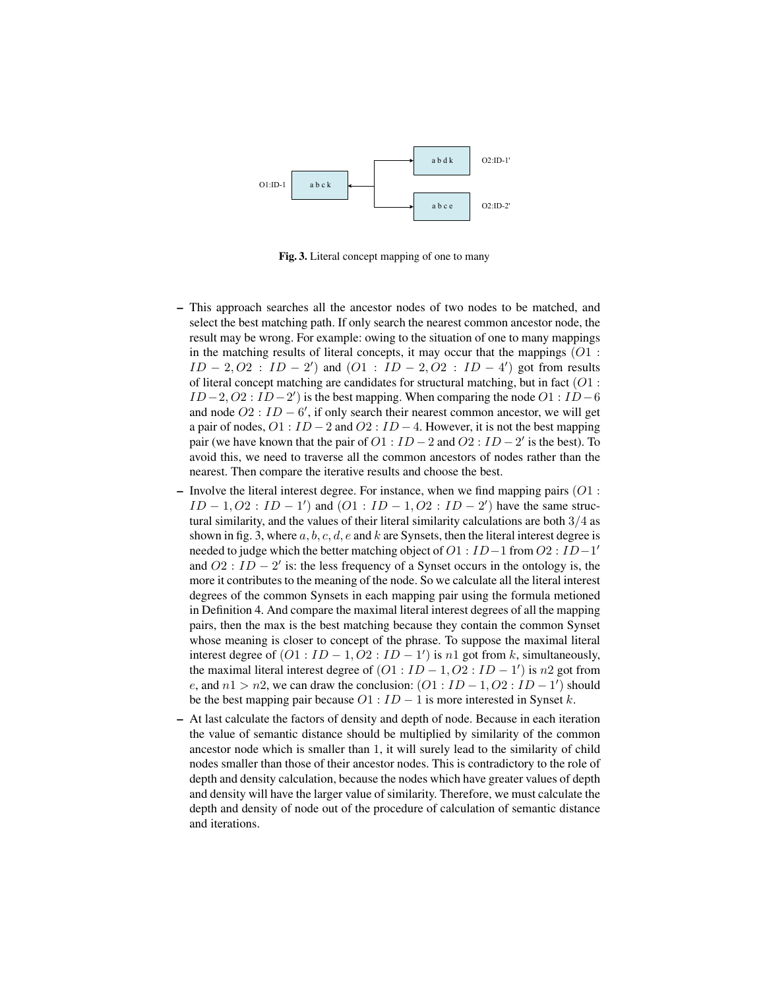

Fig. 3. Literal concept mapping of one to many

- This approach searches all the ancestor nodes of two nodes to be matched, and select the best matching path. If only search the nearest common ancestor node, the result may be wrong. For example: owing to the situation of one to many mappings in the matching results of literal concepts, it may occur that the mappings  $(O1 :$  $ID - 2, O2$ :  $ID - 2'$  and  $(O1 : ID - 2, O2 : ID - 4')$  got from results of literal concept matching are candidates for structural matching, but in fact  $(O1:$  $ID-2, O2: ID-2'$  is the best mapping. When comparing the node  $O1: ID-6$ and node  $O2$  :  $ID - 6'$ , if only search their nearest common ancestor, we will get a pair of nodes,  $O1$  :  $ID - 2$  and  $O2$  :  $ID - 4$ . However, it is not the best mapping pair (we have known that the pair of  $O1$  :  $ID-2$  and  $O2$  :  $ID-2'$  is the best). To avoid this, we need to traverse all the common ancestors of nodes rather than the nearest. Then compare the iterative results and choose the best.
- Involve the literal interest degree. For instance, when we find mapping pairs  $(O1:$  $ID - 1, O2 : ID - 1'$  and  $(O1 : ID - 1, O2 : ID - 2')$  have the same structural similarity, and the values of their literal similarity calculations are both 3/4 as shown in fig. 3, where  $a, b, c, d, e$  and  $k$  are Synsets, then the literal interest degree is needed to judge which the better matching object of  $O1: ID-1$  from  $O2: ID-1'$ and  $O2$ :  $ID - 2'$  is: the less frequency of a Synset occurs in the ontology is, the more it contributes to the meaning of the node. So we calculate all the literal interest degrees of the common Synsets in each mapping pair using the formula metioned in Definition 4. And compare the maximal literal interest degrees of all the mapping pairs, then the max is the best matching because they contain the common Synset whose meaning is closer to concept of the phrase. To suppose the maximal literal interest degree of  $(O1 : ID - 1, O2 : ID - 1')$  is  $n1$  got from k, simultaneously, the maximal literal interest degree of  $(O1 : ID - 1, O2 : ID - 1')$  is  $n2$  got from e, and  $n1 > n2$ , we can draw the conclusion:  $(01 : ID - 1, 02 : ID - 1')$  should be the best mapping pair because  $O1$  :  $ID - 1$  is more interested in Synset  $k$ .
- At last calculate the factors of density and depth of node. Because in each iteration the value of semantic distance should be multiplied by similarity of the common ancestor node which is smaller than 1, it will surely lead to the similarity of child nodes smaller than those of their ancestor nodes. This is contradictory to the role of depth and density calculation, because the nodes which have greater values of depth and density will have the larger value of similarity. Therefore, we must calculate the depth and density of node out of the procedure of calculation of semantic distance and iterations.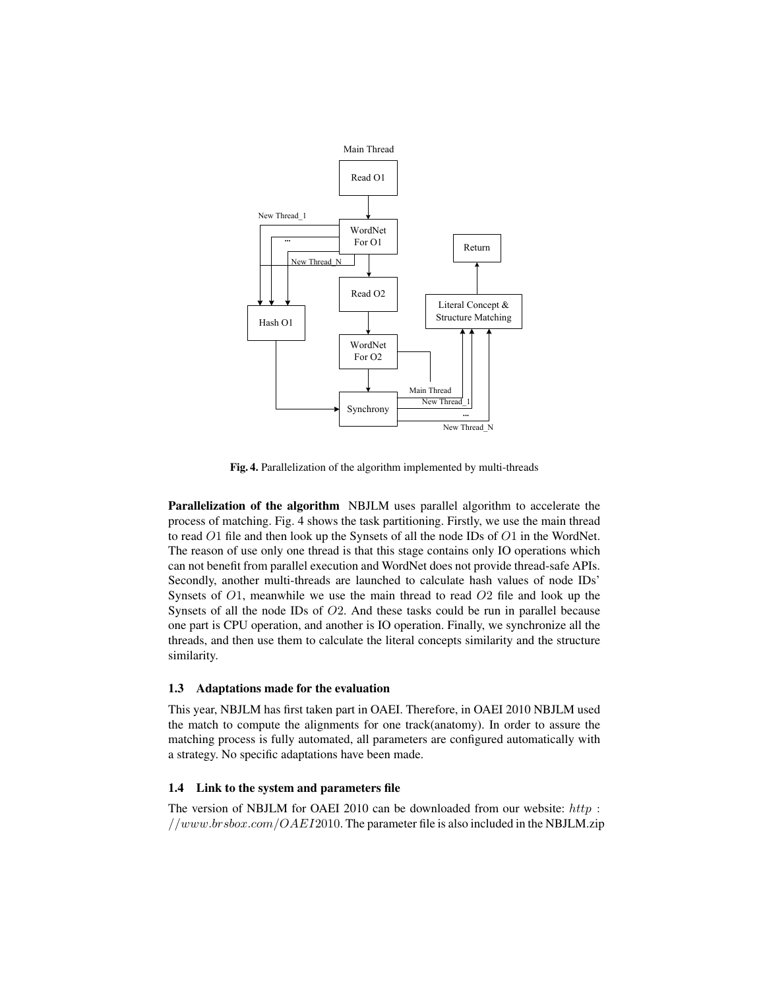

Fig. 4. Parallelization of the algorithm implemented by multi-threads

Parallelization of the algorithm NBJLM uses parallel algorithm to accelerate the process of matching. Fig. 4 shows the task partitioning. Firstly, we use the main thread to read  $O1$  file and then look up the Synsets of all the node IDs of  $O1$  in the WordNet. The reason of use only one thread is that this stage contains only IO operations which can not benefit from parallel execution and WordNet does not provide thread-safe APIs. Secondly, another multi-threads are launched to calculate hash values of node IDs' Synsets of  $O1$ , meanwhile we use the main thread to read  $O2$  file and look up the Synsets of all the node IDs of  $O2$ . And these tasks could be run in parallel because one part is CPU operation, and another is IO operation. Finally, we synchronize all the threads, and then use them to calculate the literal concepts similarity and the structure similarity.

#### 1.3 Adaptations made for the evaluation

This year, NBJLM has first taken part in OAEI. Therefore, in OAEI 2010 NBJLM used the match to compute the alignments for one track(anatomy). In order to assure the matching process is fully automated, all parameters are configured automatically with a strategy. No specific adaptations have been made.

## 1.4 Link to the system and parameters file

The version of NBJLM for OAEI 2010 can be downloaded from our website:  $http://http://www.$ //www.brsbox.com/OAEI2010. The parameter file is also included in the NBJLM.zip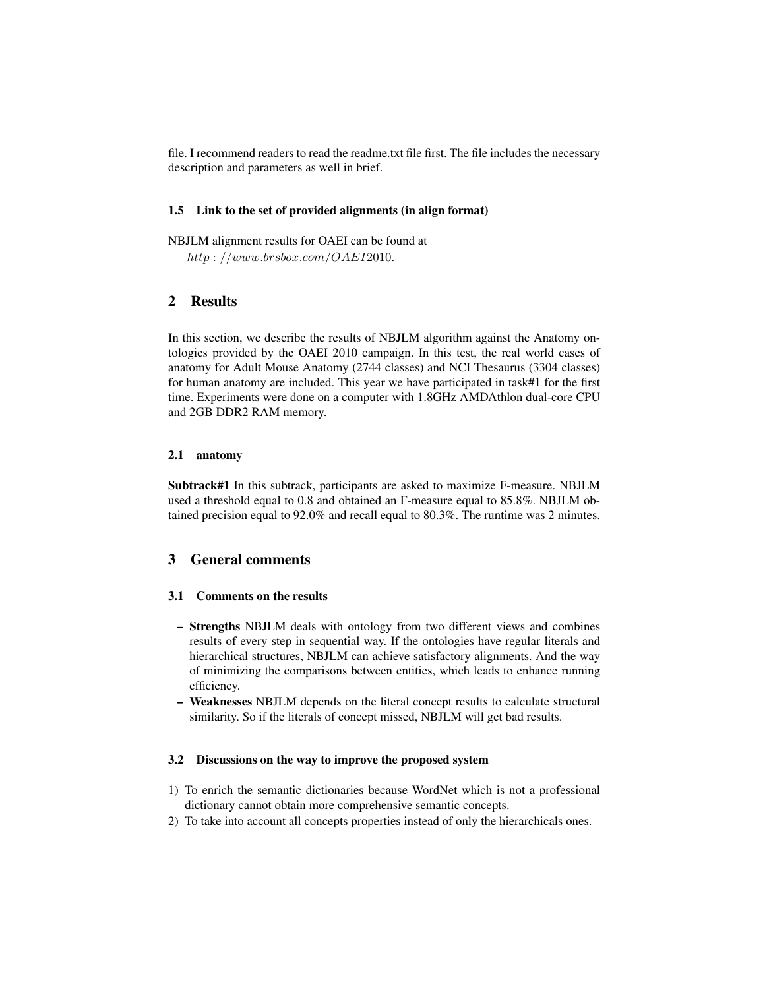file. I recommend readers to read the readme.txt file first. The file includes the necessary description and parameters as well in brief.

### 1.5 Link to the set of provided alignments (in align format)

NBJLM alignment results for OAEI can be found at  $http://www.brsbox.com/OAEI2010.$ 

# 2 Results

In this section, we describe the results of NBJLM algorithm against the Anatomy ontologies provided by the OAEI 2010 campaign. In this test, the real world cases of anatomy for Adult Mouse Anatomy (2744 classes) and NCI Thesaurus (3304 classes) for human anatomy are included. This year we have participated in task#1 for the first time. Experiments were done on a computer with 1.8GHz AMDAthlon dual-core CPU and 2GB DDR2 RAM memory.

## 2.1 anatomy

Subtrack#1 In this subtrack, participants are asked to maximize F-measure. NBJLM used a threshold equal to 0.8 and obtained an F-measure equal to 85.8%. NBJLM obtained precision equal to 92.0% and recall equal to 80.3%. The runtime was 2 minutes.

## 3 General comments

### 3.1 Comments on the results

- Strengths NBJLM deals with ontology from two different views and combines results of every step in sequential way. If the ontologies have regular literals and hierarchical structures, NBJLM can achieve satisfactory alignments. And the way of minimizing the comparisons between entities, which leads to enhance running efficiency.
- Weaknesses NBJLM depends on the literal concept results to calculate structural similarity. So if the literals of concept missed, NBJLM will get bad results.

### 3.2 Discussions on the way to improve the proposed system

- 1) To enrich the semantic dictionaries because WordNet which is not a professional dictionary cannot obtain more comprehensive semantic concepts.
- 2) To take into account all concepts properties instead of only the hierarchicals ones.